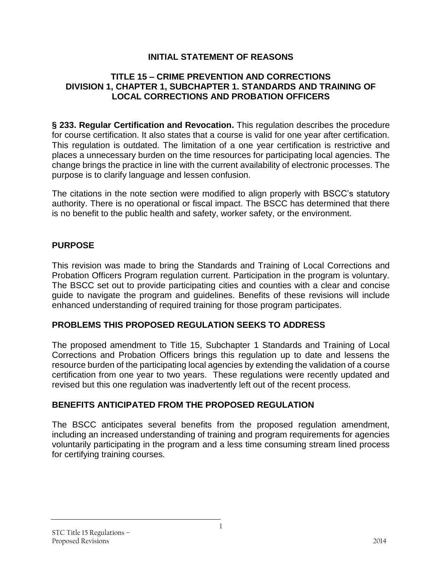# **INITIAL STATEMENT OF REASONS**

#### **TITLE 15 – CRIME PREVENTION AND CORRECTIONS DIVISION 1, CHAPTER 1, SUBCHAPTER 1. STANDARDS AND TRAINING OF LOCAL CORRECTIONS AND PROBATION OFFICERS**

**§ 233. Regular Certification and Revocation.** This regulation describes the procedure for course certification. It also states that a course is valid for one year after certification. This regulation is outdated. The limitation of a one year certification is restrictive and places a unnecessary burden on the time resources for participating local agencies. The change brings the practice in line with the current availability of electronic processes. The purpose is to clarify language and lessen confusion.

The citations in the note section were modified to align properly with BSCC's statutory authority. There is no operational or fiscal impact. The BSCC has determined that there is no benefit to the public health and safety, worker safety, or the environment.

### **PURPOSE**

This revision was made to bring the Standards and Training of Local Corrections and Probation Officers Program regulation current. Participation in the program is voluntary. The BSCC set out to provide participating cities and counties with a clear and concise guide to navigate the program and guidelines. Benefits of these revisions will include enhanced understanding of required training for those program participates.

### **PROBLEMS THIS PROPOSED REGULATION SEEKS TO ADDRESS**

The proposed amendment to Title 15, Subchapter 1 Standards and Training of Local Corrections and Probation Officers brings this regulation up to date and lessens the resource burden of the participating local agencies by extending the validation of a course certification from one year to two years. These regulations were recently updated and revised but this one regulation was inadvertently left out of the recent process.

### **BENEFITS ANTICIPATED FROM THE PROPOSED REGULATION**

The BSCC anticipates several benefits from the proposed regulation amendment, including an increased understanding of training and program requirements for agencies voluntarily participating in the program and a less time consuming stream lined process for certifying training courses.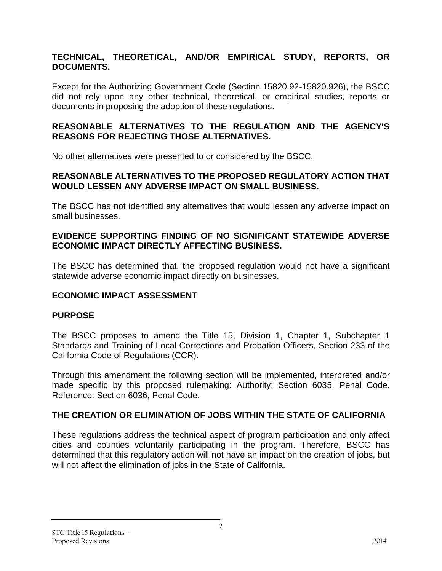## **TECHNICAL, THEORETICAL, AND/OR EMPIRICAL STUDY, REPORTS, OR DOCUMENTS.**

Except for the Authorizing Government Code (Section 15820.92-15820.926), the BSCC did not rely upon any other technical, theoretical, or empirical studies, reports or documents in proposing the adoption of these regulations.

### **REASONABLE ALTERNATIVES TO THE REGULATION AND THE AGENCY'S REASONS FOR REJECTING THOSE ALTERNATIVES.**

No other alternatives were presented to or considered by the BSCC.

#### **REASONABLE ALTERNATIVES TO THE PROPOSED REGULATORY ACTION THAT WOULD LESSEN ANY ADVERSE IMPACT ON SMALL BUSINESS.**

The BSCC has not identified any alternatives that would lessen any adverse impact on small businesses.

### **EVIDENCE SUPPORTING FINDING OF NO SIGNIFICANT STATEWIDE ADVERSE ECONOMIC IMPACT DIRECTLY AFFECTING BUSINESS.**

The BSCC has determined that, the proposed regulation would not have a significant statewide adverse economic impact directly on businesses.

### **ECONOMIC IMPACT ASSESSMENT**

### **PURPOSE**

The BSCC proposes to amend the Title 15, Division 1, Chapter 1, Subchapter 1 Standards and Training of Local Corrections and Probation Officers, Section 233 of the California Code of Regulations (CCR).

Through this amendment the following section will be implemented, interpreted and/or made specific by this proposed rulemaking: Authority: Section 6035, Penal Code. Reference: Section 6036, Penal Code.

### **THE CREATION OR ELIMINATION OF JOBS WITHIN THE STATE OF CALIFORNIA**

These regulations address the technical aspect of program participation and only affect cities and counties voluntarily participating in the program. Therefore, BSCC has determined that this regulatory action will not have an impact on the creation of jobs, but will not affect the elimination of jobs in the State of California.